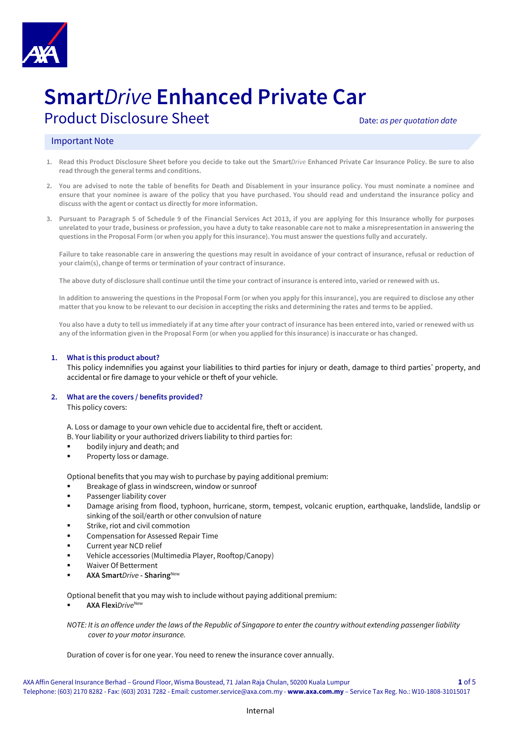

# **Smart***Drive* **Enhanced Private Car**

## Product Disclosure Sheet **Disclosure Sheet** Date: *as per quotation date*

### Important Note

- **1. Read this Product Disclosure Sheet before you decide to take out the Smart***Drive* **Enhanced Private Car Insurance Policy. Be sure to also read through the general terms and conditions.**
- **2. You are advised to note the table of benefits for Death and Disablement in your insurance policy. You must nominate a nominee and ensure that your nominee is aware of the policy that you have purchased. You should read and understand the insurance policy and discuss with the agent or contact us directly for more information.**
- **3. Pursuant to Paragraph 5 of Schedule 9 of the Financial Services Act 2013, if you are applying for this Insurance wholly for purposes unrelated to your trade, business or profession, you have a duty to take reasonable care not to make a misrepresentation in answering the questions in the Proposal Form (or when you apply for this insurance). You must answer the questions fully and accurately.**

Failure to take reasonable care in answering the questions may result in avoidance of your contract of insurance, refusal or reduction of **your claim(s), change of terms or termination of your contract of insurance.** 

**The above duty of disclosure shall continue until the time your contract of insurance is entered into, varied or renewed with us.** 

**In addition to answering the questions in the Proposal Form (or when you apply for this insurance), you are required to disclose any other matter that you know to be relevant to our decision in accepting the risks and determining the rates and terms to be applied.**

**You also have a duty to tell us immediately if at any time after your contract of insurance has been entered into, varied or renewed with us any of the information given in the Proposal Form (or when you applied for this insurance) is inaccurate or has changed.**

#### **1. What is this product about?**

This policy indemnifies you against your liabilities to third parties for injury or death, damage to third parties' property, and accidental or fire damage to your vehicle or theft of your vehicle.

#### **2. What are the covers / benefits provided?**

This policy covers:

A. Loss or damage to your own vehicle due to accidental fire, theft or accident.

- B. Your liability or your authorized drivers liability to third parties for:
- bodily injury and death; and
- Property loss or damage.

Optional benefits that you may wish to purchase by paying additional premium:

- Breakage of glass in windscreen, window or sunroof
- Passenger liability cover
- Damage arising from flood, typhoon, hurricane, storm, tempest, volcanic eruption, earthquake, landslide, landslip or sinking of the soil/earth or other convulsion of nature
- Strike, riot and civil commotion
- Compensation for Assessed Repair Time
- Current year NCD relief
- Vehicle accessories (Multimedia Player, Rooftop/Canopy)
- **Waiver Of Betterment**
- **AXA Smart***Drive* **- Sharing**New

Optional benefit that you may wish to include without paying additional premium:

**AXA Flexi***Drive*<sup>New</sup>

*NOTE: It is an offence under the laws of the Republic of Singapore to enter the country without extending passenger liability cover to your motor insurance.*

Duration of cover is for one year. You need to renew the insurance cover annually.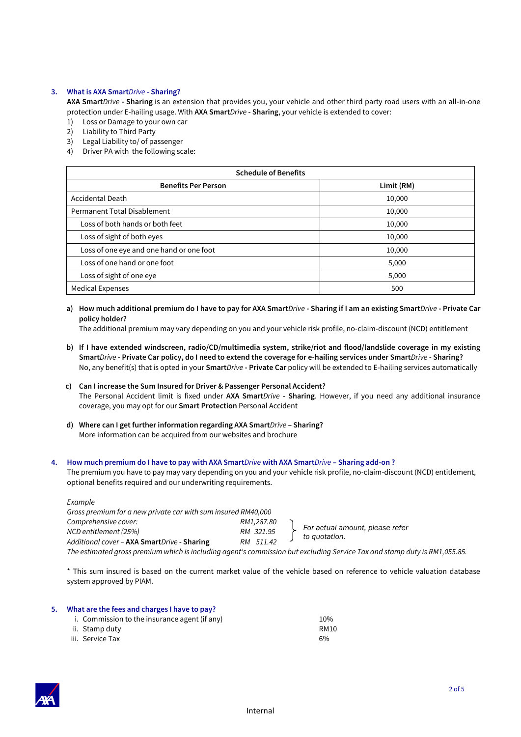#### **3. What is AXA Smart***Drive* **- Sharing?**

**AXA Smart***Drive* **- Sharing** is an extension that provides you, your vehicle and other third party road users with an all-in-one protection under E-hailing usage. With **AXA Smart***Drive* **- Sharing**, your vehicle is extended to cover:

- 1) Loss or Damage to your own car
- 2) Liability to Third Party
- 3) Legal Liability to/ of passenger
- 4) Driver PA with the following scale:

| <b>Schedule of Benefits</b>              |            |  |  |  |
|------------------------------------------|------------|--|--|--|
| <b>Benefits Per Person</b>               | Limit (RM) |  |  |  |
| <b>Accidental Death</b>                  | 10,000     |  |  |  |
| Permanent Total Disablement              | 10,000     |  |  |  |
| Loss of both hands or both feet          | 10,000     |  |  |  |
| Loss of sight of both eyes               | 10,000     |  |  |  |
| Loss of one eye and one hand or one foot | 10,000     |  |  |  |
| Loss of one hand or one foot             | 5,000      |  |  |  |
| Loss of sight of one eye                 | 5,000      |  |  |  |
| <b>Medical Expenses</b>                  | 500        |  |  |  |

**a) How much additional premium do I have to pay for AXA Smart***Drive* **- Sharing if I am an existing Smart***Drive* **- Private Car policy holder?**

The additional premium may vary depending on you and your vehicle risk profile, no-claim-discount (NCD) entitlement

- **b) If I have extended windscreen, radio/CD/multimedia system, strike/riot and flood/landslide coverage in my existing Smart***Drive* **- Private Car policy, do I need to extend the coverage for e-hailing services under Smart***Drive* **- Sharing?** No, any benefit(s) that is opted in your **Smart***Drive* **- Private Car** policy will be extended to E-hailing services automatically
- **c) Can I increase the Sum Insured for Driver & Passenger Personal Accident?** The Personal Accident limit is fixed under **AXA Smart***Drive* **- Sharing**. However, if you need any additional insurance coverage, you may opt for our **Smart Protection** Personal Accident
- **d) Where can I get further information regarding AXA Smart***Drive* **– Sharing?** More information can be acquired from our websites and brochure

#### **4. How much premium do I have to pay with AXA Smart***Drive* **with AXA Smart***Drive* **– Sharing add-on ?**

The premium you have to pay may vary depending on you and your vehicle risk profile, no-claim-discount (NCD) entitlement, optional benefits required and our underwriting requirements.

| Example                                                                                                                   |            |  |                                 |  |  |  |
|---------------------------------------------------------------------------------------------------------------------------|------------|--|---------------------------------|--|--|--|
| Gross premium for a new private car with sum insured RM40,000                                                             |            |  |                                 |  |  |  |
| Comprehensive cover:                                                                                                      | RM1,287.80 |  |                                 |  |  |  |
| NCD entitlement (25%)                                                                                                     | RM 321.95  |  | For actual amount, please refer |  |  |  |
| Additional cover - AXA SmartDrive - Sharing                                                                               | RM 511.42  |  | to quotation.                   |  |  |  |
| The estimated gross premium which is including agent's commission but excluding Service Tax and stamp duty is RM1,055.85. |            |  |                                 |  |  |  |

\* This sum insured is based on the current market value of the vehicle based on reference to vehicle valuation database system approved by PIAM.

| 5. | What are the fees and charges I have to pay?  |      |  |  |  |
|----|-----------------------------------------------|------|--|--|--|
|    | i. Commission to the insurance agent (if any) | 10%  |  |  |  |
|    | ii. Stamp dutv                                | RM10 |  |  |  |
|    | iii. Service Tax                              | 6%   |  |  |  |

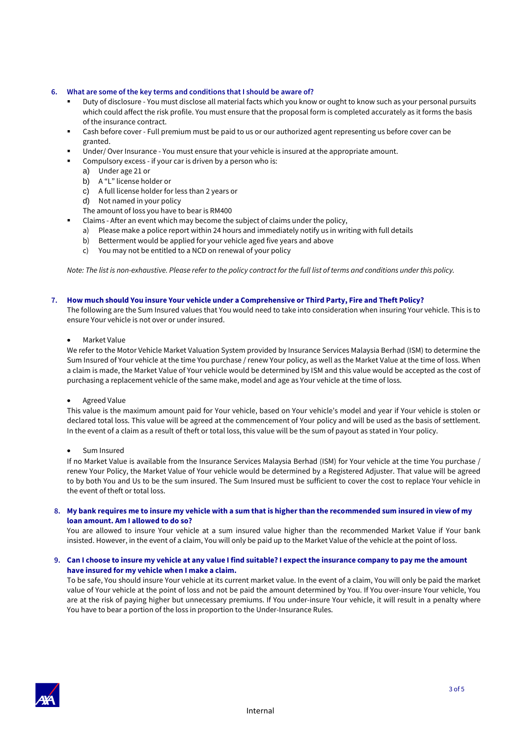#### **6. What are some of the key terms and conditions that I should be aware of?**

- Duty of disclosure You must disclose all material facts which you know or ought to know such as your personal pursuits which could affect the risk profile. You must ensure that the proposal form is completed accurately as it forms the basis of the insurance contract.
- Cash before cover Full premium must be paid to us or our authorized agent representing us before cover can be granted.
- Under/ Over Insurance You must ensure that your vehicle is insured at the appropriate amount.
- Compulsory excess if your car is driven by a person who is:
	- a) Under age 21 or
	- b) A "L" license holder or
	- c) A full license holder for less than 2 years or
	- d) Not named in your policy
	- The amount of loss you have to bear is RM400
- Claims After an event which may become the subject of claims under the policy,
	- a) Please make a police report within 24 hours and immediately notify us in writing with full details
	- b) Betterment would be applied for your vehicle aged five years and above
	- c) You may not be entitled to a NCD on renewal of your policy

*Note: The list is non-exhaustive. Please refer to the policy contract for the full list of terms and conditions under this policy.*

#### **7. How much should You insure Your vehicle under a Comprehensive or Third Party, Fire and Theft Policy?**

The following are the Sum Insured values that You would need to take into consideration when insuring Your vehicle. This is to ensure Your vehicle is not over or under insured.

• Market Value

We refer to the Motor Vehicle Market Valuation System provided by Insurance Services Malaysia Berhad (ISM) to determine the Sum Insured of Your vehicle at the time You purchase / renew Your policy, as well as the Market Value at the time of loss. When a claim is made, the Market Value of Your vehicle would be determined by ISM and this value would be accepted as the cost of purchasing a replacement vehicle of the same make, model and age as Your vehicle at the time of loss.

#### • Agreed Value

This value is the maximum amount paid for Your vehicle, based on Your vehicle's model and year if Your vehicle is stolen or declared total loss. This value will be agreed at the commencement of Your policy and will be used as the basis of settlement. In the event of a claim as a result of theft or total loss, this value will be the sum of payout as stated in Your policy.

• Sum Insured

If no Market Value is available from the Insurance Services Malaysia Berhad (ISM) for Your vehicle at the time You purchase / renew Your Policy, the Market Value of Your vehicle would be determined by a Registered Adjuster. That value will be agreed to by both You and Us to be the sum insured. The Sum Insured must be sufficient to cover the cost to replace Your vehicle in the event of theft or total loss.

#### **8. My bank requires me to insure my vehicle with a sum that is higher than the recommended sum insured in view of my loan amount. Am I allowed to do so?**

You are allowed to insure Your vehicle at a sum insured value higher than the recommended Market Value if Your bank insisted. However, in the event of a claim, You will only be paid up to the Market Value of the vehicle at the point of loss.

#### **9. Can I choose to insure my vehicle at any value I find suitable? I expect the insurance company to pay me the amount have insured for my vehicle when I make a claim.**

To be safe, You should insure Your vehicle at its current market value. In the event of a claim, You will only be paid the market value of Your vehicle at the point of loss and not be paid the amount determined by You. If You over-insure Your vehicle, You are at the risk of paying higher but unnecessary premiums. If You under-insure Your vehicle, it will result in a penalty where You have to bear a portion of the loss in proportion to the Under-Insurance Rules.

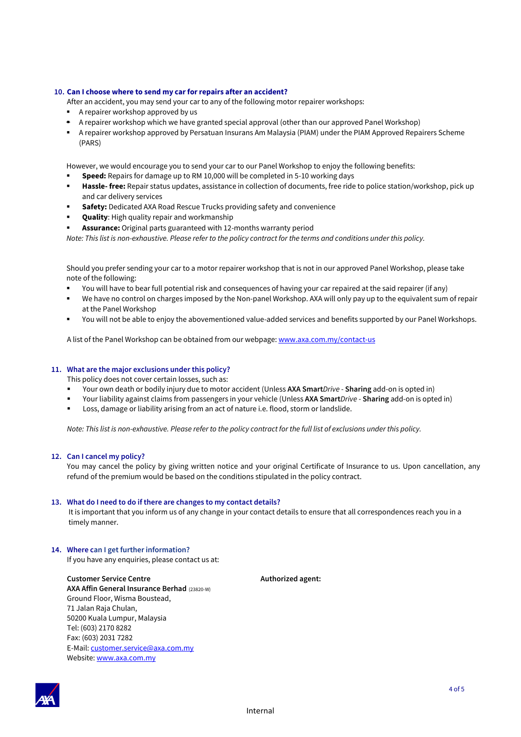#### **10. Can I choose where to send my car for repairs after an accident?**

After an accident, you may send your car to any of the following motor repairer workshops:

- A repairer workshop approved by us
- A repairer workshop which we have granted special approval (other than our approved Panel Workshop)
- A repairer workshop approved by Persatuan Insurans Am Malaysia (PIAM) under the PIAM Approved Repairers Scheme (PARS)

However, we would encourage you to send your car to our Panel Workshop to enjoy the following benefits:

- **Speed:** Repairs for damage up to RM 10,000 will be completed in 5-10 working days
- **Hassle- free:** Repair status updates, assistance in collection of documents, free ride to police station/workshop, pick up and car delivery services
- **Safety:** Dedicated AXA Road Rescue Trucks providing safety and convenience
- **Quality:** High quality repair and workmanship
- Assurance: Original parts guaranteed with 12-months warranty period

*Note: This list is non-exhaustive. Please refer to the policy contract for the terms and conditions under this policy.*

Should you prefer sending your car to a motor repairer workshop that is not in our approved Panel Workshop, please take note of the following:

- You will have to bear full potential risk and consequences of having your car repaired at the said repairer (if any)
- We have no control on charges imposed by the Non-panel Workshop. AXA will only pay up to the equivalent sum of repair at the Panel Workshop
- You will not be able to enjoy the abovementioned value-added services and benefits supported by our Panel Workshops.

A list of the Panel Workshop can be obtained from our webpage: [www.axa.com.my/contact-us](http://www.axa.com.my/contact-us)

#### **11. What are the major exclusions under this policy?**

This policy does not cover certain losses, such as:

- Your own death or bodily injury due to motor accident (Unless **AXA Smart***Drive* **Sharing** add-on is opted in)
- Your liability against claims from passengers in your vehicle (Unless **AXA Smart***Drive* **Sharing** add-on is opted in)
- Loss, damage or liability arising from an act of nature i.e. flood, storm or landslide.

*Note: This list is non-exhaustive. Please refer to the policy contract for the full list of exclusions under this policy.*

#### **12. Can I cancel my policy?**

You may cancel the policy by giving written notice and your original Certificate of Insurance to us. Upon cancellation, any refund of the premium would be based on the conditions stipulated in the policy contract.

#### **13. What do I need to do if there are changes to my contact details?**

 It is important that you inform us of any change in your contact details to ensure that all correspondences reach you in a timely manner.

#### **14. Where can I get further information?**

If you have any enquiries, please contact us at:

**Authorized agent:**

**Customer Service Centre AXA Affin General Insurance Berhad** (23820-W) Ground Floor, Wisma Boustead, 71 Jalan Raja Chulan, 50200 Kuala Lumpur, Malaysia Tel: (603) 2170 8282 Fax: (603) 2031 7282 E-Mail[: customer.service@axa.com.my](mailto:customer.service@axa.com.my) Website[: www.axa.com.my](http://www.axa.com.my/)